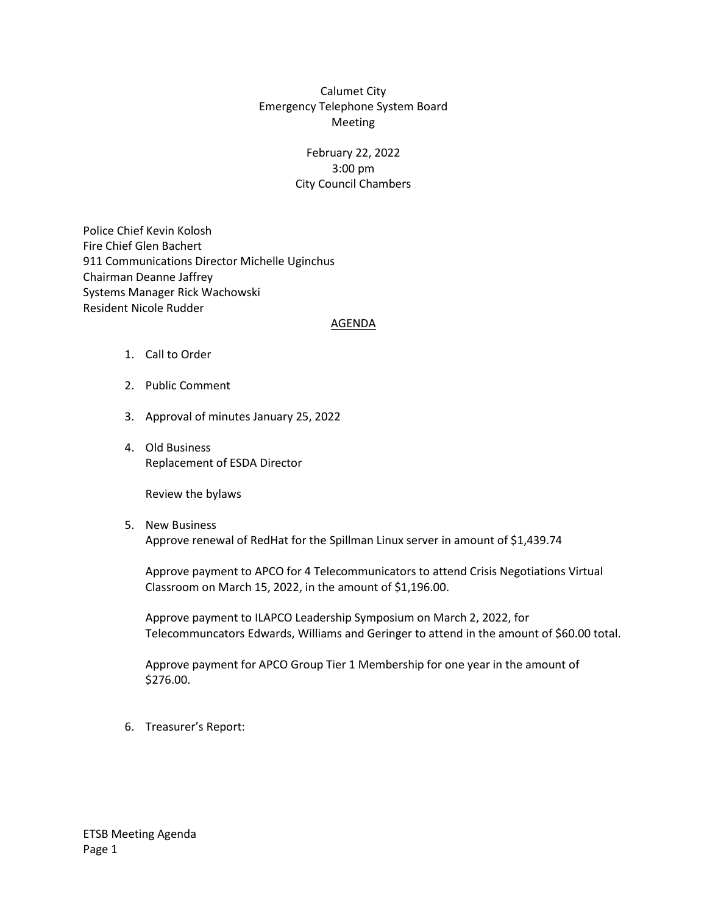## Calumet City Emergency Telephone System Board Meeting

## February 22, 2022 3:00 pm City Council Chambers

Police Chief Kevin Kolosh Fire Chief Glen Bachert 911 Communications Director Michelle Uginchus Chairman Deanne Jaffrey Systems Manager Rick Wachowski Resident Nicole Rudder

#### AGENDA

- 1. Call to Order
- 2. Public Comment
- 3. Approval of minutes January 25, 2022
- 4. Old Business Replacement of ESDA Director

Review the bylaws

5. New Business Approve renewal of RedHat for the Spillman Linux server in amount of \$1,439.74

Approve payment to APCO for 4 Telecommunicators to attend Crisis Negotiations Virtual Classroom on March 15, 2022, in the amount of \$1,196.00.

Approve payment to ILAPCO Leadership Symposium on March 2, 2022, for Telecommuncators Edwards, Williams and Geringer to attend in the amount of \$60.00 total.

Approve payment for APCO Group Tier 1 Membership for one year in the amount of \$276.00.

6. Treasurer's Report: